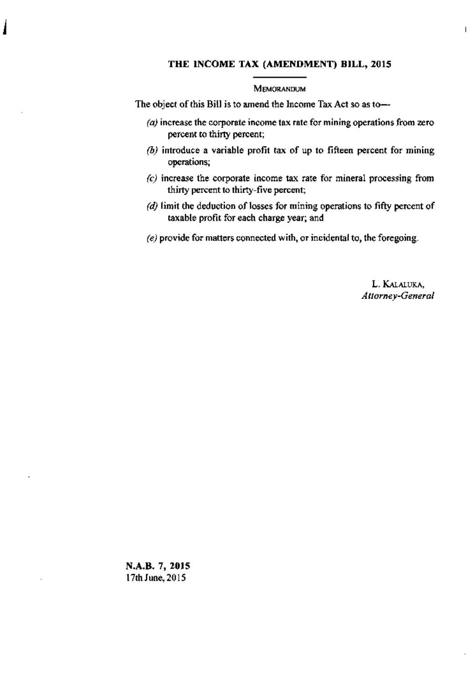### THE INCOME TAX (AMENDMENT) BILL, 2015

#### MEMORANDUM

The object of this Bill is to amend the Income Tax Act so as to-

- $\alpha$ ) increase the corporate income tax rate for mining operations from zero percent to thirty percent;
- $(b)$  introduce a variable profit tax of up to fifteen percent for mining operations;
- $(c)$  increase the corporate income tax rate for mineral processing from thirty percent to thirty-five percent;
- $(d)$  limit the deduction of losses for mining operations to fifty percent of taxable profit for each charge year; and
- (e) provide for matters connected with, or incidental to, the foregoing.

L. KALALUKA, Attorney-General  $\overline{1}$ 

N.A.B. 7, 2015 17th June, 2015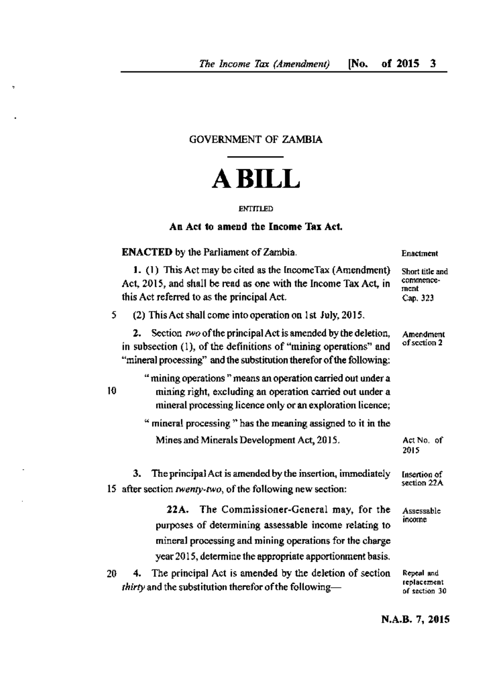## **GOVERNMENT OF ZAMBIA**

# **ABILL**

### **ENTITLED**

### An Act to amend the Income Tax Act.

|    | <b>ENACTED</b> by the Parliament of Zambia.                                                                                                                                                                                 | Enactment                                        |
|----|-----------------------------------------------------------------------------------------------------------------------------------------------------------------------------------------------------------------------------|--------------------------------------------------|
|    | 1. (1) This Act may be cited as the IncomeTax (Amendment)<br>Act, 2015, and shall be read as one with the Income Tax Act, in<br>this Act referred to as the principal Act.                                                  | Short title and<br>commence-<br>ment<br>Cap. 323 |
| 5  | (2) This Act shall come into operation on 1st July, 2015.                                                                                                                                                                   |                                                  |
|    | 2. Section $two$ of the principal Act is amended by the deletion,<br>in subsection (1), of the definitions of "mining operations" and<br>"mineral processing" and the substitution therefor of the following:               | Amendment<br>of section 2                        |
| 10 | " mining operations " means an operation carried out under a<br>mining right, excluding an operation carried out under a<br>mineral processing licence only or an exploration licence;                                      |                                                  |
|    | " mineral processing " has the meaning assigned to it in the                                                                                                                                                                |                                                  |
|    | Mines and Minerals Development Act, 2015.                                                                                                                                                                                   | Act No. of<br>2015                               |
|    | The principal Act is amended by the insertion, immediately<br>3.<br>15 after section twenty-two, of the following new section:                                                                                              | Insertion of<br>section 22A                      |
|    | 22A. The Commissioner-General may, for the<br>purposes of determining assessable income relating to<br>mineral processing and mining operations for the charge<br>year 2015, determine the appropriate apportionment basis. | Assessable<br>income                             |

4. The principal Act is amended by the deletion of section 20 thirty and the substitution therefor of the following-

Repeal and replacement of section 30

N.A.B. 7, 2015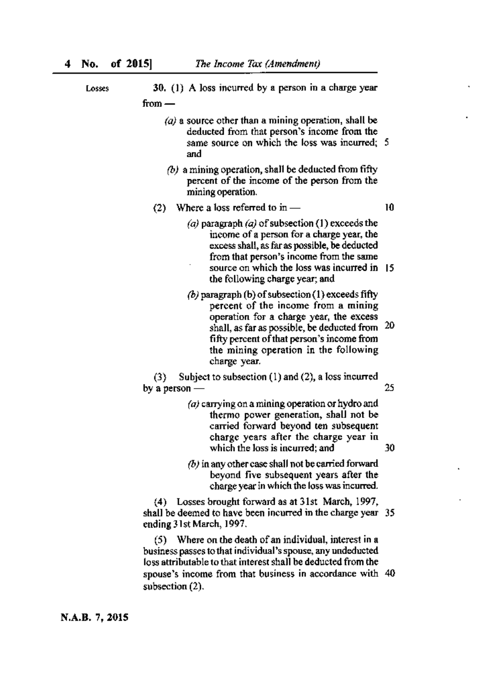| Losses | 30. (1) A loss incurred by a person in a charge year                                                                                                                                                                                                                                      |    |
|--------|-------------------------------------------------------------------------------------------------------------------------------------------------------------------------------------------------------------------------------------------------------------------------------------------|----|
|        | from –                                                                                                                                                                                                                                                                                    |    |
|        | $\langle a \rangle$ a source other than a mining operation, shall be<br>deducted from that person's income from the<br>same source on which the loss was incurred; 5<br>and                                                                                                               |    |
|        | $(b)$ a mining operation, shall be deducted from fifty<br>percent of the income of the person from the<br>mining operation.                                                                                                                                                               |    |
|        | (2) Where a loss referred to in $-$                                                                                                                                                                                                                                                       | 10 |
|        | (a) paragraph $(a)$ of subsection (1) exceeds the<br>income of a person for a charge year, the<br>excess shall, as far as possible, be deducted<br>from that person's income from the same<br>source on which the loss was incurred in<br>the following charge year; and                  | 15 |
|        | (b) paragraph (b) of subsection (1) exceeds fifty<br>percent of the income from a mining<br>operation for a charge year, the excess<br>shall, as far as possible, be deducted from<br>fifty percent of that person's income from<br>the mining operation in the following<br>charge year. | 20 |
|        | Subject to subsection $(1)$ and $(2)$ , a loss incurred<br>(3)<br>by a person                                                                                                                                                                                                             | 25 |
|        | $(a)$ carrying on a mining operation or hydro and<br>thermo power generation, shall not be<br>carried forward beyond ten subsequent<br>charge years after the charge year in<br>which the loss is incurred; and                                                                           | 30 |
|        | $(b)$ in any other case shall not be carried forward<br>beyond five subsequent years after the<br>charge year in which the loss was incurred.                                                                                                                                             |    |
|        | (4) Losses brought forward as at 31st March, 1997,<br>shall be deemed to have been incurred in the charge year 35<br>ending 31st March, 1997.                                                                                                                                             |    |
|        |                                                                                                                                                                                                                                                                                           |    |

(5) Where on the death of an individual, interest in a business passes to that individual's spouse, any undeducted<br>loss attributable to that interest shall be deducted from the spouse's income from that business in accordance with 40 subsection (2).

N.A.B. 7, 2015